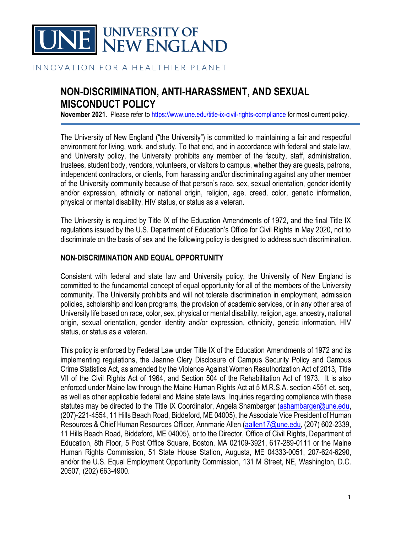

#### INNOVATION FOR A HEALTHIER PLANET

# **NON-DISCRIMINATION, ANTI-HARASSMENT, AND SEXUAL MISCONDUCT POLICY**

**November 2021**. Please refer to <https://www.une.edu/title-ix-civil-rights-compliance> for most current policy.

The University of New England ("the University") is committed to maintaining a fair and respectful environment for living, work, and study. To that end, and in accordance with federal and state law, and University policy, the University prohibits any member of the faculty, staff, administration, trustees, student body, vendors, volunteers, or visitors to campus, whether they are guests, patrons, independent contractors, or clients, from harassing and/or discriminating against any other member of the University community because of that person's race, sex, sexual orientation, gender identity and/or expression, ethnicity or national origin, religion, age, creed, color, genetic information, physical or mental disability, HIV status, or status as a veteran.

The University is required by Title IX of the Education Amendments of 1972, and the final Title IX regulations issued by the U.S. Department of Education's Office for Civil Rights in May 2020, not to discriminate on the basis of sex and the following policy is designed to address such discrimination.

#### **NON-DISCRIMINATION AND EQUAL OPPORTUNITY**

Consistent with federal and state law and University policy, the University of New England is committed to the fundamental concept of equal opportunity for all of the members of the University community. The University prohibits and will not tolerate discrimination in employment, admission policies, scholarship and loan programs, the provision of academic services, or in any other area of University life based on race, color, sex, physical or mental disability, religion, age, ancestry, national origin, sexual orientation, gender identity and/or expression, ethnicity, genetic information, HIV status, or status as a veteran.

This policy is enforced by Federal Law under Title IX of the Education Amendments of 1972 and its implementing regulations, the Jeanne Clery Disclosure of Campus Security Policy and Campus Crime Statistics Act, as amended by the Violence Against Women Reauthorization Act of 2013, Title VII of the Civil Rights Act of 1964, and Section 504 of the Rehabilitation Act of 1973. It is also enforced under Maine law through the Maine Human Rights Act at 5 M.R.S.A. section 4551 et. seq, as well as other applicable federal and Maine state laws. Inquiries regarding compliance with these statutes may be directed to the Title IX Coordinator, Angela Shambarger [\(ashambarger@une.edu,](mailto:ashambarger@une.edu) (207)-221-4554, 11 Hills Beach Road, Biddeford, ME 04005), the Associate Vice President of Human Resources & Chief Human Resources Officer, Annmarie Allen [\(aallen17@une.edu,](mailto:aallen17@une.edu) (207) 602-2339, 11 Hills Beach Road, Biddeford, ME 04005), or to the Director, Office of Civil Rights, Department of Education, 8th Floor, 5 Post Office Square, Boston, MA 02109-3921, 617-289-0111 or the Maine Human Rights Commission, 51 State House Station, Augusta, ME 04333-0051, 207-624-6290, and/or the U.S. Equal Employment Opportunity Commission, 131 M Street, NE, Washington, D.C. 20507, (202) 663-4900.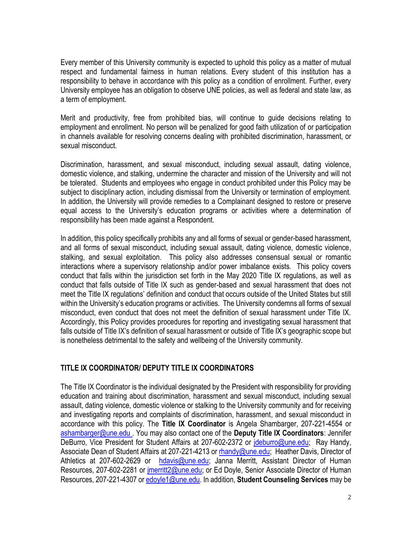Every member of this University community is expected to uphold this policy as a matter of mutual respect and fundamental fairness in human relations. Every student of this institution has a responsibility to behave in accordance with this policy as a condition of enrollment. Further, every University employee has an obligation to observe UNE policies, as well as federal and state law, as a term of employment.

Merit and productivity, free from prohibited bias, will continue to guide decisions relating to employment and enrollment. No person will be penalized for good faith utilization of or participation in channels available for resolving concerns dealing with prohibited discrimination, harassment, or sexual misconduct.

Discrimination, harassment, and sexual misconduct, including sexual assault, dating violence, domestic violence, and stalking, undermine the character and mission of the University and will not be tolerated. Students and employees who engage in conduct prohibited under this Policy may be subject to disciplinary action, including dismissal from the University or termination of employment. In addition, the University will provide remedies to a Complainant designed to restore or preserve equal access to the University's education programs or activities where a determination of responsibility has been made against a Respondent.

In addition, this policy specifically prohibits any and all forms of sexual or gender-based harassment, and all forms of sexual misconduct, including sexual assault, dating violence, domestic violence, stalking, and sexual exploitation. This policy also addresses consensual sexual or romantic interactions where a supervisory relationship and/or power imbalance exists. This policy covers conduct that falls within the jurisdiction set forth in the May 2020 Title IX regulations, as well as conduct that falls outside of Title IX such as gender-based and sexual harassment that does not meet the Title IX regulations' definition and conduct that occurs outside of the United States but still within the University's education programs or activities. The University condemns all forms of sexual misconduct, even conduct that does not meet the definition of sexual harassment under Title IX. Accordingly, this Policy provides procedures for reporting and investigating sexual harassment that falls outside of Title IX's definition of sexual harassment or outside of Title IX's geographic scope but is nonetheless detrimental to the safety and wellbeing of the University community.

# **TITLE IX COORDINATOR/ DEPUTY TITLE IX COORDINATORS**

The Title IX Coordinator is the individual designated by the President with responsibility for providing education and training about discrimination, harassment and sexual misconduct, including sexual assault, dating violence, domestic violence or stalking to the University community and for receiving and investigating reports and complaints of discrimination, harassment, and sexual misconduct in accordance with this policy. The **Title IX Coordinator** is Angela Shambarger, 207-221-4554 or [ashambarger@une.edu](mailto:ashambarger@une.edu) . You may also contact one of the **Deputy Title IX Coordinators**: Jennifer DeBurro, Vice President for Student Affairs at 207-602-2372 or ideburro@une.edu; Ray Handy, Associate Dean of Student Affairs at 207-221-4213 or [rhandy@une.edu;](mailto:rhandy@une.edu) Heather Davis, Director of Athletics at 207-602-2629 or [hdavis@une.edu;](mailto:hdavis@une.edu) Janna Merritt, Assistant Director of Human Resources, 207-602-2281 or [jmerritt2@une.edu;](mailto:jmerritt2@une.edu) or Ed Doyle, Senior Associate Director of Human Resources, 207-221-4307 or [edoyle1@une.edu.](mailto:edoyle1@une.edu) In addition, **Student Counseling Services** may be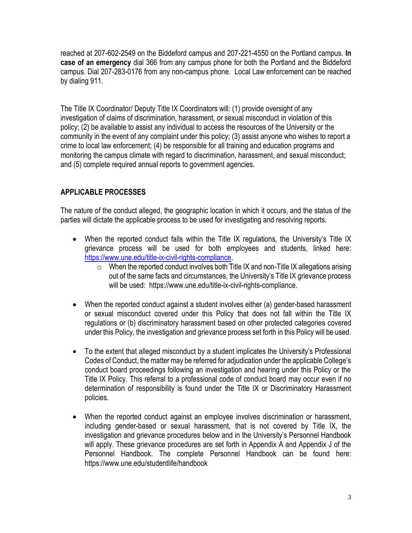reached at 207-602-2549 on the Biddeford campus and 207-221-4550 on the Portland campus. **In case of an emergency** dial 366 from any campus phone for both the Portland and the Biddeford campus. Dial 207-283-0176 from any non-campus phone. Local Law enforcement can be reached by dialing 911.

The Title IX Coordinator/ Deputy Title IX Coordinators will: (1) provide oversight of any investigation of claims of discrimination, harassment, or sexual misconduct in violation of this policy; (2) be available to assist any individual to access the resources of the University or the community in the event of any complaint under this policy; (3) assist anyone who wishes to report a crime to local law enforcement; (4) be responsible for all training and education programs and monitoring the campus climate with regard to discrimination, harassment, and sexual misconduct; and (5) complete required annual reports to government agencies.

### **APPLICABLE PROCESSES**

The nature of the conduct alleged, the geographic location in which it occurs, and the status of the parties will dictate the applicable process to be used for investigating and resolving reports.

- When the reported conduct falls within the Title IX regulations, the University's Title IX grievance process will be used for both employees and students, linked here: [https://www.une.edu/title-ix-civil-rights-compliance.](https://www.une.edu/title-ix-civil-rights-compliance)
	- $\circ$  When the reported conduct involves both Title IX and non-Title IX allegations arising out of the same facts and circumstances, the University's Title IX grievance process will be used: https://www.une.edu/title-ix-civil-rights-compliance.
- When the reported conduct against a student involves either (a) gender-based harassment or sexual misconduct covered under this Policy that does not fall within the Title IX regulations or (b) discriminatory harassment based on other protected categories covered under this Policy, the investigation and grievance process set forth in this Policy will be used.
- To the extent that alleged misconduct by a student implicates the University's Professional Codes of Conduct, the matter may be referred for adjudication under the applicable College's conduct board proceedings following an investigation and hearing under this Policy or the Title IX Policy. This referral to a professional code of conduct board may occur even if no determination of responsibility is found under the Title IX or Discriminatory Harassment policies.
- When the reported conduct against an employee involves discrimination or harassment, including gender-based or sexual harassment, that is not covered by Title IX, the investigation and grievance procedures below and in the University's Personnel Handbook will apply. These grievance procedures are set forth in Appendix A and Appendix J of the Personnel Handbook. The complete Personnel Handbook can be found here: https://www.une.edu/studentlife/handbook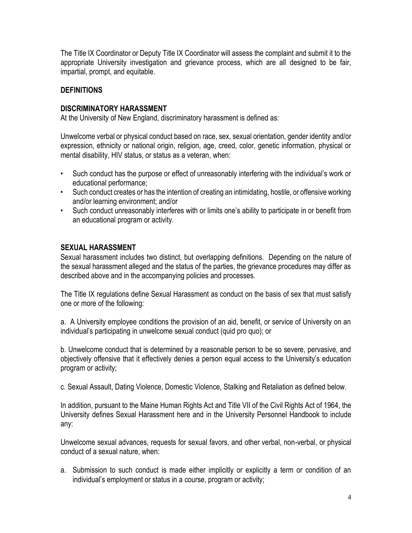The Title IX Coordinator or Deputy Title IX Coordinator will assess the complaint and submit it to the appropriate University investigation and grievance process, which are all designed to be fair, impartial, prompt, and equitable.

### **DEFINITIONS**

### **DISCRIMINATORY HARASSMENT**

At the University of New England, discriminatory harassment is defined as:

Unwelcome verbal or physical conduct based on race, sex, sexual orientation, gender identity and/or expression, ethnicity or national origin, religion, age, creed, color, genetic information, physical or mental disability, HIV status, or status as a veteran, when:

- Such conduct has the purpose or effect of unreasonably interfering with the individual's work or educational performance;
- Such conduct creates or has the intention of creating an intimidating, hostile, or offensive working and/or learning environment; and/or
- Such conduct unreasonably interferes with or limits one's ability to participate in or benefit from an educational program or activity.

### **SEXUAL HARASSMENT**

Sexual harassment includes two distinct, but overlapping definitions. Depending on the nature of the sexual harassment alleged and the status of the parties, the grievance procedures may differ as described above and in the accompanying policies and processes.

The Title IX regulations define Sexual Harassment as conduct on the basis of sex that must satisfy one or more of the following:

a. A University employee conditions the provision of an aid, benefit, or service of University on an individual's participating in unwelcome sexual conduct (quid pro quo); or

b. Unwelcome conduct that is determined by a reasonable person to be so severe, pervasive, and objectively offensive that it effectively denies a person equal access to the University's education program or activity;

c. Sexual Assault, Dating Violence, Domestic Violence, Stalking and Retaliation as defined below.

In addition, pursuant to the Maine Human Rights Act and Title VII of the Civil Rights Act of 1964, the University defines Sexual Harassment here and in the University Personnel Handbook to include any:

Unwelcome sexual advances, requests for sexual favors, and other verbal, non-verbal, or physical conduct of a sexual nature, when:

a. Submission to such conduct is made either implicitly or explicitly a term or condition of an individual's employment or status in a course, program or activity;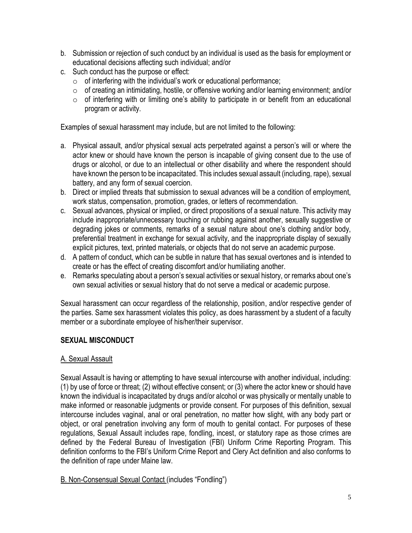- b. Submission or rejection of such conduct by an individual is used as the basis for employment or educational decisions affecting such individual; and/or
- c. Such conduct has the purpose or effect:
	- $\circ$  of interfering with the individual's work or educational performance;
	- $\circ$  of creating an intimidating, hostile, or offensive working and/or learning environment; and/or
	- $\circ$  of interfering with or limiting one's ability to participate in or benefit from an educational program or activity.

Examples of sexual harassment may include, but are not limited to the following:

- a. Physical assault, and/or physical sexual acts perpetrated against a person's will or where the actor knew or should have known the person is incapable of giving consent due to the use of drugs or alcohol, or due to an intellectual or other disability and where the respondent should have known the person to be incapacitated. This includes sexual assault (including, rape), sexual battery, and any form of sexual coercion.
- b. Direct or implied threats that submission to sexual advances will be a condition of employment, work status, compensation, promotion, grades, or letters of recommendation.
- c. Sexual advances, physical or implied, or direct propositions of a sexual nature. This activity may include inappropriate/unnecessary touching or rubbing against another, sexually suggestive or degrading jokes or comments, remarks of a sexual nature about one's clothing and/or body, preferential treatment in exchange for sexual activity, and the inappropriate display of sexually explicit pictures, text, printed materials, or objects that do not serve an academic purpose.
- d. A pattern of conduct, which can be subtle in nature that has sexual overtones and is intended to create or has the effect of creating discomfort and/or humiliating another.
- e. Remarks speculating about a person's sexual activities or sexual history, or remarks about one's own sexual activities or sexual history that do not serve a medical or academic purpose.

Sexual harassment can occur regardless of the relationship, position, and/or respective gender of the parties. Same sex harassment violates this policy, as does harassment by a student of a faculty member or a subordinate employee of his/her/their supervisor.

# **SEXUAL MISCONDUCT**

# A. Sexual Assault

Sexual Assault is having or attempting to have sexual intercourse with another individual, including: (1) by use of force or threat; (2) without effective consent; or (3) where the actor knew or should have known the individual is incapacitated by drugs and/or alcohol or was physically or mentally unable to make informed or reasonable judgments or provide consent. For purposes of this definition, sexual intercourse includes vaginal, anal or oral penetration, no matter how slight, with any body part or object, or oral penetration involving any form of mouth to genital contact. For purposes of these regulations, Sexual Assault includes rape, fondling, incest, or statutory rape as those crimes are defined by the Federal Bureau of Investigation (FBI) Uniform Crime Reporting Program. This definition conforms to the FBI's Uniform Crime Report and Clery Act definition and also conforms to the definition of rape under Maine law.

# B. Non-Consensual Sexual Contact (includes "Fondling")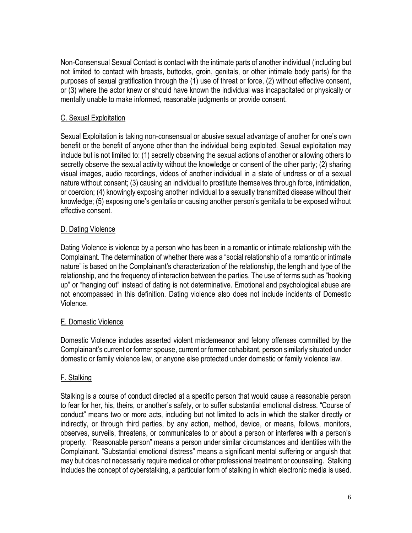Non-Consensual Sexual Contact is contact with the intimate parts of another individual (including but not limited to contact with breasts, buttocks, groin, genitals, or other intimate body parts) for the purposes of sexual gratification through the (1) use of threat or force, (2) without effective consent, or (3) where the actor knew or should have known the individual was incapacitated or physically or mentally unable to make informed, reasonable judgments or provide consent.

# C. Sexual Exploitation

Sexual Exploitation is taking non-consensual or abusive sexual advantage of another for one's own benefit or the benefit of anyone other than the individual being exploited. Sexual exploitation may include but is not limited to: (1) secretly observing the sexual actions of another or allowing others to secretly observe the sexual activity without the knowledge or consent of the other party; (2) sharing visual images, audio recordings, videos of another individual in a state of undress or of a sexual nature without consent; (3) causing an individual to prostitute themselves through force, intimidation, or coercion; (4) knowingly exposing another individual to a sexually transmitted disease without their knowledge; (5) exposing one's genitalia or causing another person's genitalia to be exposed without effective consent.

### D. Dating Violence

Dating Violence is violence by a person who has been in a romantic or intimate relationship with the Complainant. The determination of whether there was a "social relationship of a romantic or intimate nature" is based on the Complainant's characterization of the relationship, the length and type of the relationship, and the frequency of interaction between the parties. The use of terms such as "hooking up" or "hanging out" instead of dating is not determinative. Emotional and psychological abuse are not encompassed in this definition. Dating violence also does not include incidents of Domestic Violence.

### E. Domestic Violence

Domestic Violence includes asserted violent misdemeanor and felony offenses committed by the Complainant's current or former spouse, current or former cohabitant, person similarly situated under domestic or family violence law, or anyone else protected under domestic or family violence law.

### F. Stalking

Stalking is a course of conduct directed at a specific person that would cause a reasonable person to fear for her, his, theirs, or another's safety, or to suffer substantial emotional distress. "Course of conduct" means two or more acts, including but not limited to acts in which the stalker directly or indirectly, or through third parties, by any action, method, device, or means, follows, monitors, observes, surveils, threatens, or communicates to or about a person or interferes with a person's property. "Reasonable person" means a person under similar circumstances and identities with the Complainant. "Substantial emotional distress" means a significant mental suffering or anguish that may but does not necessarily require medical or other professional treatment or counseling. Stalking includes the concept of cyberstalking, a particular form of stalking in which electronic media is used.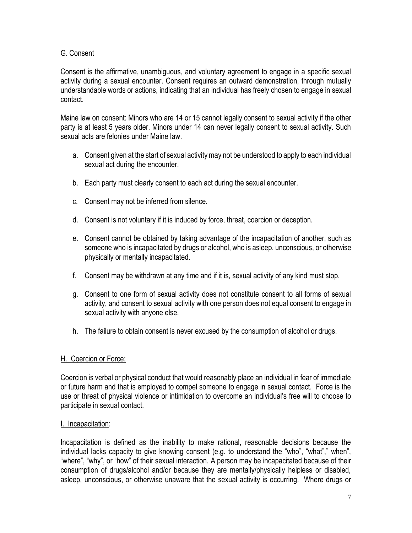### G. Consent

Consent is the affirmative, unambiguous, and voluntary agreement to engage in a specific sexual activity during a sexual encounter. Consent requires an outward demonstration, through mutually understandable words or actions, indicating that an individual has freely chosen to engage in sexual contact.

Maine law on consent: Minors who are 14 or 15 cannot legally consent to sexual activity if the other party is at least 5 years older. Minors under 14 can never legally consent to sexual activity. Such sexual acts are felonies under Maine law.

- a. Consent given at the start of sexual activity may not be understood to apply to each individual sexual act during the encounter.
- b. Each party must clearly consent to each act during the sexual encounter.
- c. Consent may not be inferred from silence.
- d. Consent is not voluntary if it is induced by force, threat, coercion or deception.
- e. Consent cannot be obtained by taking advantage of the incapacitation of another, such as someone who is incapacitated by drugs or alcohol, who is asleep, unconscious, or otherwise physically or mentally incapacitated.
- f. Consent may be withdrawn at any time and if it is, sexual activity of any kind must stop.
- g. Consent to one form of sexual activity does not constitute consent to all forms of sexual activity, and consent to sexual activity with one person does not equal consent to engage in sexual activity with anyone else.
- h. The failure to obtain consent is never excused by the consumption of alcohol or drugs.

# H. Coercion or Force:

Coercion is verbal or physical conduct that would reasonably place an individual in fear of immediate or future harm and that is employed to compel someone to engage in sexual contact. Force is the use or threat of physical violence or intimidation to overcome an individual's free will to choose to participate in sexual contact.

### I. Incapacitation:

Incapacitation is defined as the inability to make rational, reasonable decisions because the individual lacks capacity to give knowing consent (e.g. to understand the "who", "what"," when", "where", "why", or "how" of their sexual interaction. A person may be incapacitated because of their consumption of drugs/alcohol and/or because they are mentally/physically helpless or disabled, asleep, unconscious, or otherwise unaware that the sexual activity is occurring. Where drugs or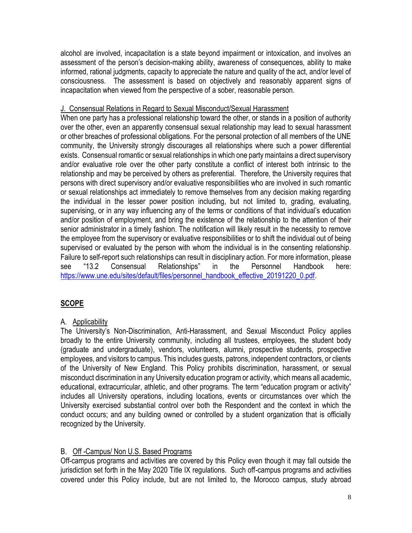alcohol are involved, incapacitation is a state beyond impairment or intoxication, and involves an assessment of the person's decision-making ability, awareness of consequences, ability to make informed, rational judgments, capacity to appreciate the nature and quality of the act, and/or level of consciousness. The assessment is based on objectively and reasonably apparent signs of incapacitation when viewed from the perspective of a sober, reasonable person.

#### J. Consensual Relations in Regard to Sexual Misconduct/Sexual Harassment

When one party has a professional relationship toward the other, or stands in a position of authority over the other, even an apparently consensual sexual relationship may lead to sexual harassment or other breaches of professional obligations. For the personal protection of all members of the UNE community, the University strongly discourages all relationships where such a power differential exists. Consensual romantic or sexual relationships in which one party maintains a direct supervisory and/or evaluative role over the other party constitute a conflict of interest both intrinsic to the relationship and may be perceived by others as preferential. Therefore, the University requires that persons with direct supervisory and/or evaluative responsibilities who are involved in such romantic or sexual relationships act immediately to remove themselves from any decision making regarding the individual in the lesser power position including, but not limited to, grading, evaluating, supervising, or in any way influencing any of the terms or conditions of that individual's education and/or position of employment, and bring the existence of the relationship to the attention of their senior administrator in a timely fashion. The notification will likely result in the necessity to remove the employee from the supervisory or evaluative responsibilities or to shift the individual out of being supervised or evaluated by the person with whom the individual is in the consenting relationship. Failure to self-report such relationships can result in disciplinary action. For more information, please see "13.2 Consensual Relationships" in the Personnel Handbook here: [https://www.une.edu/sites/default/files/personnel\\_handbook\\_effective\\_20191220\\_0.pdf.](https://www.une.edu/sites/default/files/personnel_handbook_effective_20191220_0.pdf)

# **SCOPE**

# A. Applicability

The University's Non-Discrimination, Anti-Harassment, and Sexual Misconduct Policy applies broadly to the entire University community, including all trustees, employees, the student body (graduate and undergraduate), vendors, volunteers, alumni, prospective students, prospective employees, and visitors to campus. This includes guests, patrons, independent contractors, or clients of the University of New England. This Policy prohibits discrimination, harassment, or sexual misconduct discrimination in any University education program or activity, which means all academic, educational, extracurricular, athletic, and other programs. The term "education program or activity" includes all University operations, including locations, events or circumstances over which the University exercised substantial control over both the Respondent and the context in which the conduct occurs; and any building owned or controlled by a student organization that is officially recognized by the University.

# B. Off -Campus/ Non U.S. Based Programs

Off-campus programs and activities are covered by this Policy even though it may fall outside the jurisdiction set forth in the May 2020 Title IX regulations. Such off-campus programs and activities covered under this Policy include, but are not limited to, the Morocco campus, study abroad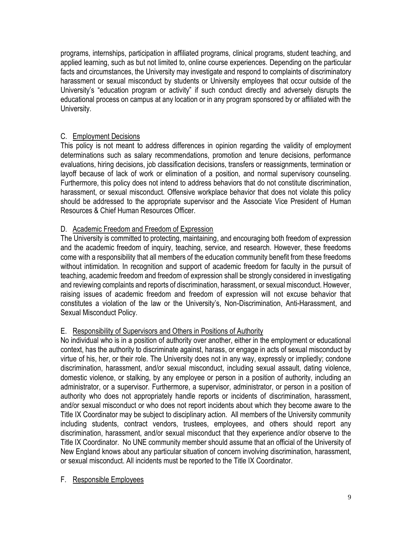programs, internships, participation in affiliated programs, clinical programs, student teaching, and applied learning, such as but not limited to, online course experiences. Depending on the particular facts and circumstances, the University may investigate and respond to complaints of discriminatory harassment or sexual misconduct by students or University employees that occur outside of the University's "education program or activity" if such conduct directly and adversely disrupts the educational process on campus at any location or in any program sponsored by or affiliated with the University.

# C. Employment Decisions

This policy is not meant to address differences in opinion regarding the validity of employment determinations such as salary recommendations, promotion and tenure decisions, performance evaluations, hiring decisions, job classification decisions, transfers or reassignments, termination or layoff because of lack of work or elimination of a position, and normal supervisory counseling. Furthermore, this policy does not intend to address behaviors that do not constitute discrimination, harassment, or sexual misconduct. Offensive workplace behavior that does not violate this policy should be addressed to the appropriate supervisor and the Associate Vice President of Human Resources & Chief Human Resources Officer.

# D. Academic Freedom and Freedom of Expression

The University is committed to protecting, maintaining, and encouraging both freedom of expression and the academic freedom of inquiry, teaching, service, and research. However, these freedoms come with a responsibility that all members of the education community benefit from these freedoms without intimidation. In recognition and support of academic freedom for faculty in the pursuit of teaching, academic freedom and freedom of expression shall be strongly considered in investigating and reviewing complaints and reports of discrimination, harassment, or sexual misconduct. However, raising issues of academic freedom and freedom of expression will not excuse behavior that constitutes a violation of the law or the University's, Non-Discrimination, Anti-Harassment, and Sexual Misconduct Policy.

# E. Responsibility of Supervisors and Others in Positions of Authority

No individual who is in a position of authority over another, either in the employment or educational context, has the authority to discriminate against, harass, or engage in acts of sexual misconduct by virtue of his, her, or their role. The University does not in any way, expressly or impliedly; condone discrimination, harassment, and/or sexual misconduct, including sexual assault, dating violence, domestic violence, or stalking, by any employee or person in a position of authority, including an administrator, or a supervisor. Furthermore, a supervisor, administrator, or person in a position of authority who does not appropriately handle reports or incidents of discrimination, harassment, and/or sexual misconduct or who does not report incidents about which they become aware to the Title IX Coordinator may be subject to disciplinary action. All members of the University community including students, contract vendors, trustees, employees, and others should report any discrimination, harassment, and/or sexual misconduct that they experience and/or observe to the Title IX Coordinator. No UNE community member should assume that an official of the University of New England knows about any particular situation of concern involving discrimination, harassment, or sexual misconduct. All incidents must be reported to the Title IX Coordinator.

### F. Responsible Employees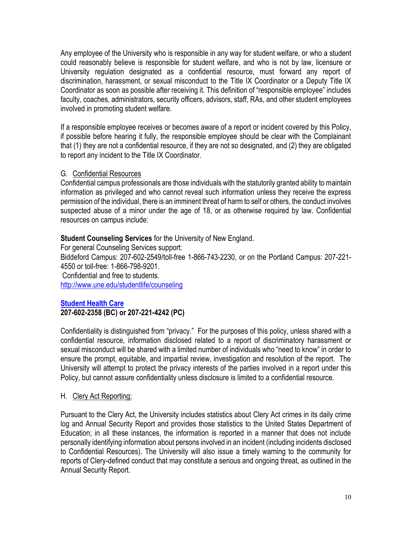Any employee of the University who is responsible in any way for student welfare, or who a student could reasonably believe is responsible for student welfare, and who is not by law, licensure or University regulation designated as a confidential resource, must forward any report of discrimination, harassment, or sexual misconduct to the Title IX Coordinator or a Deputy Title IX Coordinator as soon as possible after receiving it. This definition of "responsible employee" includes faculty, coaches, administrators, security officers, advisors, staff, RAs, and other student employees involved in promoting student welfare.

If a responsible employee receives or becomes aware of a report or incident covered by this Policy, if possible before hearing it fully, the responsible employee should be clear with the Complainant that (1) they are not a confidential resource, if they are not so designated, and (2) they are obligated to report any incident to the Title IX Coordinator.

### G. Confidential Resources

Confidential campus professionals are those individuals with the statutorily granted ability to maintain information as privileged and who cannot reveal such information unless they receive the express permission of the individual, there is an imminent threat of harm to self or others, the conduct involves suspected abuse of a minor under the age of 18, or as otherwise required by law. Confidential resources on campus include:

### **Student Counseling Services** for the University of New England.

For general Counseling Services support: Biddeford Campus: 207-602-2549/toll-free 1-866-743-2230, or on the Portland Campus: 207-221- 4550 or toll-free: 1-866-798-9201. Confidential and free to students. <http://www.une.edu/studentlife/counseling>

### **[Student Health Care](https://www.une.edu/student-health-center) 207-602-2358 (BC) or 207-221-4242 (PC)**

Confidentiality is distinguished from "privacy." For the purposes of this policy, unless shared with a confidential resource, information disclosed related to a report of discriminatory harassment or sexual misconduct will be shared with a limited number of individuals who "need to know" in order to ensure the prompt, equitable, and impartial review, investigation and resolution of the report. The University will attempt to protect the privacy interests of the parties involved in a report under this Policy, but cannot assure confidentiality unless disclosure is limited to a confidential resource.

### H. Clery Act Reporting:

Pursuant to the Clery Act, the University includes statistics about Clery Act crimes in its daily crime log and Annual Security Report and provides those statistics to the United States Department of Education; in all these instances, the information is reported in a manner that does not include personally identifying information about persons involved in an incident (including incidents disclosed to Confidential Resources). The University will also issue a timely warning to the community for reports of Clery-defined conduct that may constitute a serious and ongoing threat, as outlined in the Annual Security Report.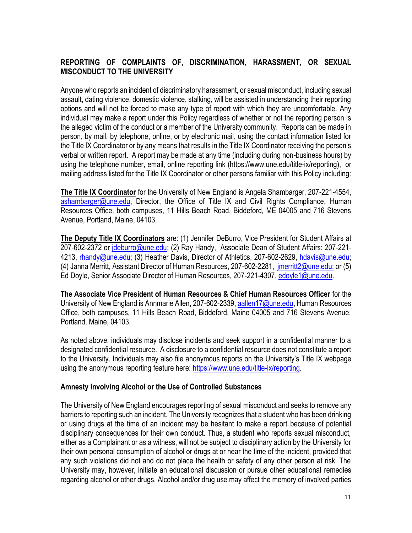### **REPORTING OF COMPLAINTS OF, DISCRIMINATION, HARASSMENT, OR SEXUAL MISCONDUCT TO THE UNIVERSITY**

Anyone who reports an incident of discriminatory harassment, or sexual misconduct, including sexual assault, dating violence, domestic violence, stalking, will be assisted in understanding their reporting options and will not be forced to make any type of report with which they are uncomfortable. Any individual may make a report under this Policy regardless of whether or not the reporting person is the alleged victim of the conduct or a member of the University community. Reports can be made in person, by mail, by telephone, online, or by electronic mail, using the contact information listed for the Title IX Coordinator or by any means that results in the Title IX Coordinator receiving the person's verbal or written report. A report may be made at any time (including during non-business hours) by using the telephone number, email, online reporting link (https://www.une.edu/title-ix/reporting), or mailing address listed for the Title IX Coordinator or other persons familiar with this Policy including:

**The Title IX Coordinator** for the University of New England is Angela Shambarger, 207-221-4554, [ashambarger@une.edu,](mailto:ashambarger@une.edu) Director, the Office of Title IX and Civil Rights Compliance, Human Resources Office, both campuses, 11 Hills Beach Road, Biddeford, ME 04005 and 716 Stevens Avenue, Portland, Maine, 04103.

**The Deputy Title IX Coordinators** are: (1) Jennifer DeBurro, Vice President for Student Affairs at 207-602-2372 or [jdeburro@une.edu;](mailto:jdeburro@une.edu) (2) Ray Handy, Associate Dean of Student Affairs: 207-221-4213, [rhandy@une.edu;](mailto:rhandy@une.edu) (3) Heather Davis, Director of Athletics, 207-602-2629, [hdavis@une.edu;](mailto:hdavis@une.edu) (4) Janna Merritt, Assistant Director of Human Resources, 207-602-2281, *imerritt2@une.edu;* or (5) Ed Doyle, Senior Associate Director of Human Resources, 207-221-4307, [edoyle1@une.edu.](mailto:edoyle1@une.edu)

**The Associate Vice President of Human Resources & Chief Human Resources Officer** for the University of New England is Annmarie Allen, 207-602-2339, [aallen17@une.edu,](mailto:aallen17@une.edu) Human Resources Office, both campuses, 11 Hills Beach Road, Biddeford, Maine 04005 and 716 Stevens Avenue, Portland, Maine, 04103.

As noted above, individuals may disclose incidents and seek support in a confidential manner to a designated confidential resource. A disclosure to a confidential resource does not constitute a report to the University. Individuals may also file anonymous reports on the University's Title IX webpage using the anonymous reporting feature here:<https://www.une.edu/title-ix/reporting>.

### **Amnesty Involving Alcohol or the Use of Controlled Substances**

The University of New England encourages reporting of sexual misconduct and seeks to remove any barriers to reporting such an incident. The University recognizes that a student who has been drinking or using drugs at the time of an incident may be hesitant to make a report because of potential disciplinary consequences for their own conduct. Thus, a student who reports sexual misconduct, either as a Complainant or as a witness, will not be subject to disciplinary action by the University for their own personal consumption of alcohol or drugs at or near the time of the incident, provided that any such violations did not and do not place the health or safety of any other person at risk. The University may, however, initiate an educational discussion or pursue other educational remedies regarding alcohol or other drugs. Alcohol and/or drug use may affect the memory of involved parties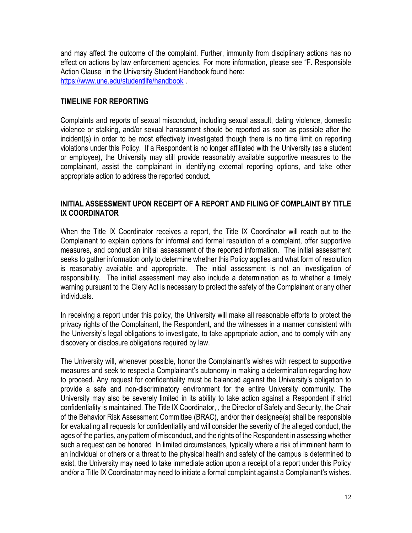and may affect the outcome of the complaint. Further, immunity from disciplinary actions has no effect on actions by law enforcement agencies. For more information, please see "F. Responsible Action Clause" in the University Student Handbook found here: <https://www.une.edu/studentlife/handbook> .

#### **TIMELINE FOR REPORTING**

Complaints and reports of sexual misconduct, including sexual assault, dating violence, domestic violence or stalking, and/or sexual harassment should be reported as soon as possible after the incident(s) in order to be most effectively investigated though there is no time limit on reporting violations under this Policy. If a Respondent is no longer affiliated with the University (as a student or employee), the University may still provide reasonably available supportive measures to the complainant, assist the complainant in identifying external reporting options, and take other appropriate action to address the reported conduct.

#### **INITIAL ASSESSMENT UPON RECEIPT OF A REPORT AND FILING OF COMPLAINT BY TITLE IX COORDINATOR**

When the Title IX Coordinator receives a report, the Title IX Coordinator will reach out to the Complainant to explain options for informal and formal resolution of a complaint, offer supportive measures, and conduct an initial assessment of the reported information. The initial assessment seeks to gather information only to determine whether this Policy applies and what form of resolution is reasonably available and appropriate. The initial assessment is not an investigation of responsibility. The initial assessment may also include a determination as to whether a timely warning pursuant to the Clery Act is necessary to protect the safety of the Complainant or any other individuals.

In receiving a report under this policy, the University will make all reasonable efforts to protect the privacy rights of the Complainant, the Respondent, and the witnesses in a manner consistent with the University's legal obligations to investigate, to take appropriate action, and to comply with any discovery or disclosure obligations required by law.

The University will, whenever possible, honor the Complainant's wishes with respect to supportive measures and seek to respect a Complainant's autonomy in making a determination regarding how to proceed. Any request for confidentiality must be balanced against the University's obligation to provide a safe and non-discriminatory environment for the entire University community. The University may also be severely limited in its ability to take action against a Respondent if strict confidentiality is maintained. The Title IX Coordinator, , the Director of Safety and Security, the Chair of the Behavior Risk Assessment Committee (BRAC), and/or their designee(s) shall be responsible for evaluating all requests for confidentiality and will consider the severity of the alleged conduct, the ages of the parties, any pattern of misconduct, and the rights of the Respondent in assessing whether such a request can be honored In limited circumstances, typically where a risk of imminent harm to an individual or others or a threat to the physical health and safety of the campus is determined to exist, the University may need to take immediate action upon a receipt of a report under this Policy and/or a Title IX Coordinator may need to initiate a formal complaint against a Complainant's wishes.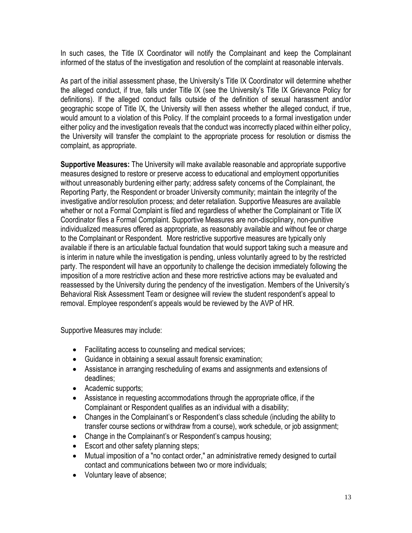In such cases, the Title IX Coordinator will notify the Complainant and keep the Complainant informed of the status of the investigation and resolution of the complaint at reasonable intervals.

As part of the initial assessment phase, the University's Title IX Coordinator will determine whether the alleged conduct, if true, falls under Title IX (see the University's Title IX Grievance Policy for definitions). If the alleged conduct falls outside of the definition of sexual harassment and/or geographic scope of Title IX, the University will then assess whether the alleged conduct, if true, would amount to a violation of this Policy. If the complaint proceeds to a formal investigation under either policy and the investigation reveals that the conduct was incorrectly placed within either policy, the University will transfer the complaint to the appropriate process for resolution or dismiss the complaint, as appropriate.

**Supportive Measures:** The University will make available reasonable and appropriate supportive measures designed to restore or preserve access to educational and employment opportunities without unreasonably burdening either party; address safety concerns of the Complainant, the Reporting Party, the Respondent or broader University community; maintain the integrity of the investigative and/or resolution process; and deter retaliation. Supportive Measures are available whether or not a Formal Complaint is filed and regardless of whether the Complainant or Title IX Coordinator files a Formal Complaint. Supportive Measures are non-disciplinary, non-punitive individualized measures offered as appropriate, as reasonably available and without fee or charge to the Complainant or Respondent. More restrictive supportive measures are typically only available if there is an articulable factual foundation that would support taking such a measure and is interim in nature while the investigation is pending, unless voluntarily agreed to by the restricted party. The respondent will have an opportunity to challenge the decision immediately following the imposition of a more restrictive action and these more restrictive actions may be evaluated and reassessed by the University during the pendency of the investigation. Members of the University's Behavioral Risk Assessment Team or designee will review the student respondent's appeal to removal. Employee respondent's appeals would be reviewed by the AVP of HR.

Supportive Measures may include:

- Facilitating access to counseling and medical services;
- Guidance in obtaining a sexual assault forensic examination;
- Assistance in arranging rescheduling of exams and assignments and extensions of deadlines;
- Academic supports;
- Assistance in requesting accommodations through the appropriate office, if the Complainant or Respondent qualifies as an individual with a disability;
- Changes in the Complainant's or Respondent's class schedule (including the ability to transfer course sections or withdraw from a course), work schedule, or job assignment;
- Change in the Complainant's or Respondent's campus housing;
- Escort and other safety planning steps;
- Mutual imposition of a "no contact order," an administrative remedy designed to curtail contact and communications between two or more individuals;
- Voluntary leave of absence;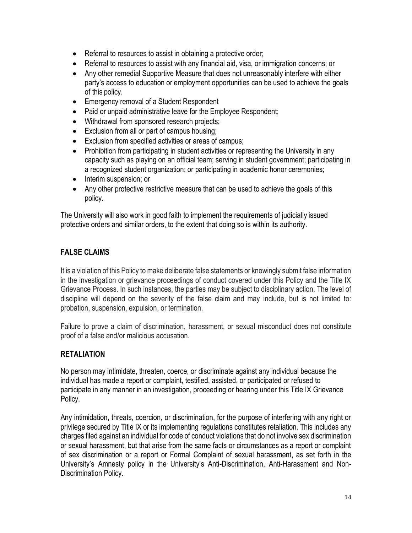- Referral to resources to assist in obtaining a protective order;
- Referral to resources to assist with any financial aid, visa, or immigration concerns; or
- Any other remedial Supportive Measure that does not unreasonably interfere with either party's access to education or employment opportunities can be used to achieve the goals of this policy.
- Emergency removal of a Student Respondent
- Paid or unpaid administrative leave for the Employee Respondent;
- Withdrawal from sponsored research projects;
- Exclusion from all or part of campus housing;
- Exclusion from specified activities or areas of campus;
- Prohibition from participating in student activities or representing the University in any capacity such as playing on an official team; serving in student government; participating in a recognized student organization; or participating in academic honor ceremonies;
- Interim suspension; or
- Any other protective restrictive measure that can be used to achieve the goals of this policy.

The University will also work in good faith to implement the requirements of judicially issued protective orders and similar orders, to the extent that doing so is within its authority.

# **FALSE CLAIMS**

It is a violation of this Policy to make deliberate false statements or knowingly submit false information in the investigation or grievance proceedings of conduct covered under this Policy and the Title IX Grievance Process. In such instances, the parties may be subject to disciplinary action. The level of discipline will depend on the severity of the false claim and may include, but is not limited to: probation, suspension, expulsion, or termination.

Failure to prove a claim of discrimination, harassment, or sexual misconduct does not constitute proof of a false and/or malicious accusation.

# **RETALIATION**

No person may intimidate, threaten, coerce, or discriminate against any individual because the individual has made a report or complaint, testified, assisted, or participated or refused to participate in any manner in an investigation, proceeding or hearing under this Title IX Grievance Policy.

Any intimidation, threats, coercion, or discrimination, for the purpose of interfering with any right or privilege secured by Title IX or its implementing regulations constitutes retaliation. This includes any charges filed against an individual for code of conduct violations that do not involve sex discrimination or sexual harassment, but that arise from the same facts or circumstances as a report or complaint of sex discrimination or a report or Formal Complaint of sexual harassment, as set forth in the University's Amnesty policy in the University's Anti-Discrimination, Anti-Harassment and Non-Discrimination Policy.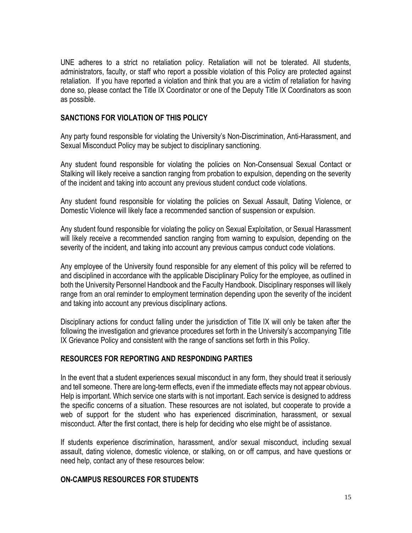UNE adheres to a strict no retaliation policy. Retaliation will not be tolerated. All students, administrators, faculty, or staff who report a possible violation of this Policy are protected against retaliation. If you have reported a violation and think that you are a victim of retaliation for having done so, please contact the Title IX Coordinator or one of the Deputy Title IX Coordinators as soon as possible.

#### **SANCTIONS FOR VIOLATION OF THIS POLICY**

Any party found responsible for violating the University's Non-Discrimination, Anti-Harassment, and Sexual Misconduct Policy may be subject to disciplinary sanctioning.

Any student found responsible for violating the policies on Non-Consensual Sexual Contact or Stalking will likely receive a sanction ranging from probation to expulsion, depending on the severity of the incident and taking into account any previous student conduct code violations.

Any student found responsible for violating the policies on Sexual Assault, Dating Violence, or Domestic Violence will likely face a recommended sanction of suspension or expulsion.

Any student found responsible for violating the policy on Sexual Exploitation, or Sexual Harassment will likely receive a recommended sanction ranging from warning to expulsion, depending on the severity of the incident, and taking into account any previous campus conduct code violations.

Any employee of the University found responsible for any element of this policy will be referred to and disciplined in accordance with the applicable Disciplinary Policy for the employee, as outlined in both the University Personnel Handbook and the Faculty Handbook. Disciplinary responses will likely range from an oral reminder to employment termination depending upon the severity of the incident and taking into account any previous disciplinary actions.

Disciplinary actions for conduct falling under the jurisdiction of Title IX will only be taken after the following the investigation and grievance procedures set forth in the University's accompanying Title IX Grievance Policy and consistent with the range of sanctions set forth in this Policy.

#### **RESOURCES FOR REPORTING AND RESPONDING PARTIES**

In the event that a student experiences sexual misconduct in any form, they should treat it seriously and tell someone. There are long-term effects, even if the immediate effects may not appear obvious. Help is important. Which service one starts with is not important. Each service is designed to address the specific concerns of a situation. These resources are not isolated, but cooperate to provide a web of support for the student who has experienced discrimination, harassment, or sexual misconduct. After the first contact, there is help for deciding who else might be of assistance.

If students experience discrimination, harassment, and/or sexual misconduct, including sexual assault, dating violence, domestic violence, or stalking, on or off campus, and have questions or need help, contact any of these resources below:

#### **ON-CAMPUS RESOURCES FOR STUDENTS**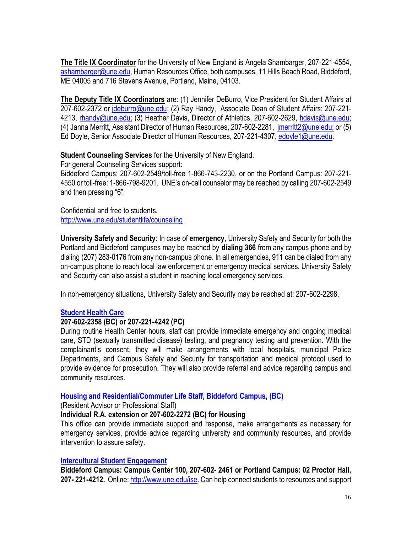**The Title IX Coordinator** for the University of New England is Angela Shambarger, 207-221-4554, [ashambarger@une.edu,](mailto:ashambarger@une.edu) Human Resources Office, both campuses, 11 Hills Beach Road, Biddeford, ME 04005 and 716 Stevens Avenue, Portland, Maine, 04103.

**The Deputy Title IX Coordinators** are: (1) Jennifer DeBurro, Vice President for Student Affairs at 207-602-2372 or [jdeburro@une.edu;](mailto:jdeburro@une.edu) (2) Ray Handy, Associate Dean of Student Affairs: 207-221 4213, [rhandy@une.edu;](mailto:rhandy@une.edu) (3) Heather Davis, Director of Athletics, 207-602-2629, [hdavis@une.edu;](mailto:hdavis@une.edu) (4) Janna Merritt, Assistant Director of Human Resources, 207-602-2281, [jmerritt2@une.edu;](mailto:jmerritt2@une.edu) or (5) Ed Doyle, Senior Associate Director of Human Resources, 207-221-4307, [edoyle1@une.edu.](mailto:edoyle1@une.edu)

### **Student Counseling Services** for the University of New England.

For general Counseling Services support: Biddeford Campus: 207-602-2549/toll-free 1-866-743-2230, or on the Portland Campus: 207-221- 4550 or toll-free: 1-866-798-9201. UNE's on-call counselor may be reached by calling 207-602-2549 and then pressing "6".

Confidential and free to students. <http://www.une.edu/studentlife/counseling>

**University Safety and Security**: In case of **emergency**, University Safety and Security for both the Portland and Biddeford campuses may be reached by **dialing 366** from any campus phone and by dialing (207) 283-0176 from any non-campus phone. In all emergencies, 911 can be dialed from any on-campus phone to reach local law enforcement or emergency medical services. University Safety and Security can also assist a student in reaching local emergency services.

In non-emergency situations, University Safety and Security may be reached at: 207-602-2298.

### **[Student Health Care](https://www.une.edu/student-health-center)**

### **207-602-2358 (BC) or 207-221-4242 (PC)**

During routine Health Center hours, staff can provide immediate emergency and ongoing medical care, STD (sexually transmitted disease) testing, and pregnancy testing and prevention. With the complainant's consent, they will make arrangements with local hospitals, municipal Police Departments, and Campus Safety and Security for transportation and medical protocol used to provide evidence for prosecution. They will also provide referral and advice regarding campus and community resources.

#### **[Housing and Residential/Commuter Life Staff, Biddeford Campus, \(BC\)](https://www.une.edu/studentlife/biddeford/residential/res-ed-office)**

(Resident Advisor or Professional Staff)

### **Individual R.A. extension or 207-602-2272 (BC) for Housing**

This office can provide immediate support and response, make arrangements as necessary for emergency services, provide advice regarding university and community resources, and provide intervention to assure safety.

#### **[Intercultural Student Engagement](https://www.une.edu/ise)**

**Biddeford Campus: Campus Center 100, 207-602- 2461 or Portland Campus: 02 Proctor Hall, 207- 221-4212.** Online[: http://www.une.edu/ise.](http://www.une.edu/ise) Can help connect students to resources and support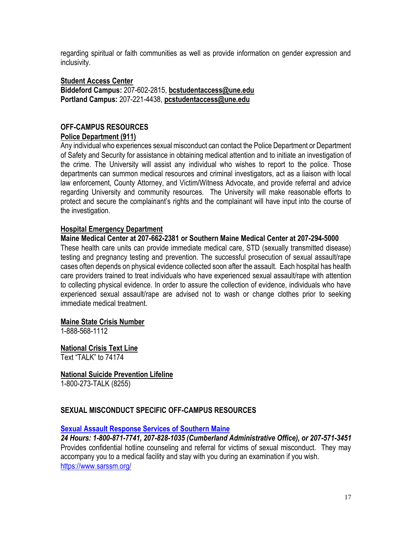regarding spiritual or faith communities as well as provide information on gender expression and inclusivity.

#### **Student Access Center**

**Biddeford Campus:** 207-602-2815, **bcstudentaccess@une.edu Portland Campus:** 207-221-4438, **pcstudentaccess@une.edu**

#### **OFF-CAMPUS RESOURCES Police Department (911)**

Any individual who experiences sexual misconduct can contact the Police Department or Department of Safety and Security for assistance in obtaining medical attention and to initiate an investigation of the crime. The University will assist any individual who wishes to report to the police. Those departments can summon medical resources and criminal investigators, act as a liaison with local law enforcement, County Attorney, and Victim/Witness Advocate, and provide referral and advice regarding University and community resources. The University will make reasonable efforts to protect and secure the complainant's rights and the complainant will have input into the course of the investigation.

#### **Hospital Emergency Department**

#### **Maine Medical Center at 207-662-2381 or Southern Maine Medical Center at 207-294-5000**

These health care units can provide immediate medical care, STD (sexually transmitted disease) testing and pregnancy testing and prevention. The successful prosecution of sexual assault/rape cases often depends on physical evidence collected soon after the assault. Each hospital has health care providers trained to treat individuals who have experienced sexual assault/rape with attention to collecting physical evidence. In order to assure the collection of evidence, individuals who have experienced sexual assault/rape are advised not to wash or change clothes prior to seeking immediate medical treatment.

#### **Maine State Crisis Number**

1-888-568-1112

**National Crisis Text Line** Text "TALK" to 74174

**National Suicide Prevention Lifeline** 1-800-273-TALK (8255)

### **SEXUAL MISCONDUCT SPECIFIC OFF-CAMPUS RESOURCES**

#### **[Sexual Assault Response Services of Southern Maine](http://www.sarsonline.org/)**

*24 Hours: 1-800-871-7741, 207-828-1035 (Cumberland Administrative Office), or 207-571-3451* Provides confidential hotline counseling and referral for victims of sexual misconduct. They may accompany you to a medical facility and stay with you during an examination if you wish. <https://www.sarssm.org/>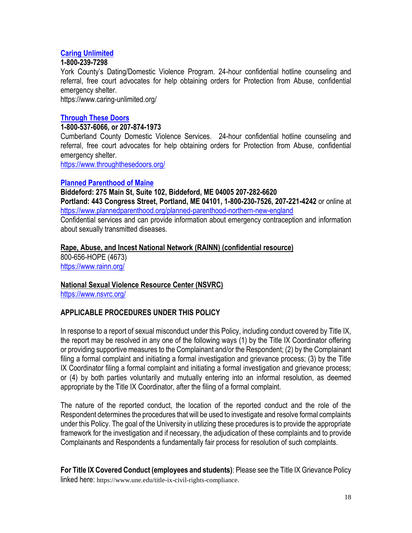### **[Caring Unlimited](https://www.caring-unlimited.org/)**

#### **1-800-239-7298**

York County's Dating/Domestic Violence Program. 24-hour confidential hotline counseling and referral, free court advocates for help obtaining orders for Protection from Abuse, confidential emergency shelter.

https://www.caring-unlimited.org/

### **[Through These Doors](http://throughthesedoors.org/)**

#### **1-800-537-6066, or 207-874-1973**

Cumberland County Domestic Violence Services. 24-hour confidential hotline counseling and referral, free court advocates for help obtaining orders for Protection from Abuse, confidential emergency shelter.

<https://www.throughthesedoors.org/>

#### **[Planned Parenthood of Maine](https://www.plannedparenthood.org/health-center/maine/portland/04101/portland-health-center-2940-91770/std-testing-treatment?gclid=EAIaIQobChMIu7yhnvfJ3AIVlwOGCh23cgAJEAAYASAAEgL7tPD_BwE)**

**Biddeford: 275 Main St, Suite 102, Biddeford, ME 04005 207-282-6620 Portland: 443 Congress Street, Portland, ME 04101, 1-800-230-7526, 207-221-4242** or online at <https://www.plannedparenthood.org/planned-parenthood-northern-new-england> Confidential services and can provide information about emergency contraception and information about sexually transmitted diseases.

#### **Rape, Abuse, and Incest National Network (RAINN) (confidential resource)**

800-656-HOPE (4673) <https://www.rainn.org/>

### **National Sexual Violence Resource Center (NSVRC)**

<https://www.nsvrc.org/>

### **APPLICABLE PROCEDURES UNDER THIS POLICY**

In response to a report of sexual misconduct under this Policy, including conduct covered by Title IX, the report may be resolved in any one of the following ways (1) by the Title IX Coordinator offering or providing supportive measures to the Complainant and/or the Respondent; (2) by the Complainant filing a formal complaint and initiating a formal investigation and grievance process; (3) by the Title IX Coordinator filing a formal complaint and initiating a formal investigation and grievance process; or (4) by both parties voluntarily and mutually entering into an informal resolution, as deemed appropriate by the Title IX Coordinator, after the filing of a formal complaint.

The nature of the reported conduct, the location of the reported conduct and the role of the Respondent determines the procedures that will be used to investigate and resolve formal complaints under this Policy. The goal of the University in utilizing these procedures is to provide the appropriate framework for the investigation and if necessary, the adjudication of these complaints and to provide Complainants and Respondents a fundamentally fair process for resolution of such complaints.

**For Title IX Covered Conduct (employees and students)**: Please see the Title IX Grievance Policy linked here: https://www.une.edu/title-ix-civil-rights-compliance.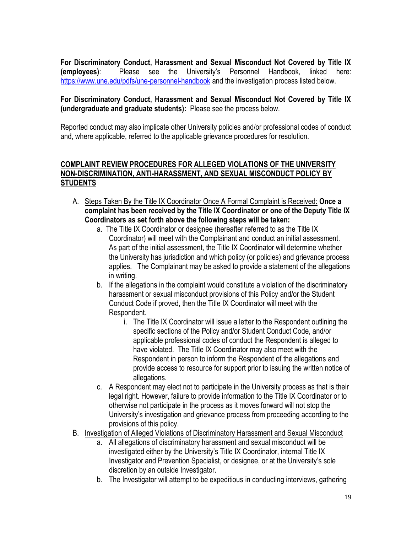**For Discriminatory Conduct, Harassment and Sexual Misconduct Not Covered by Title IX (employees)**: Please see the University's Personnel Handbook, linked here: <https://www.une.edu/pdfs/une-personnel-handbook> and the investigation process listed below.

### **For Discriminatory Conduct, Harassment and Sexual Misconduct Not Covered by Title IX (undergraduate and graduate students):** Please see the process below.

Reported conduct may also implicate other University policies and/or professional codes of conduct and, where applicable, referred to the applicable grievance procedures for resolution.

### **COMPLAINT REVIEW PROCEDURES FOR ALLEGED VIOLATIONS OF THE UNIVERSITY NON-DISCRIMINATION, ANTI-HARASSMENT, AND SEXUAL MISCONDUCT POLICY BY STUDENTS**

- A. Steps Taken By the Title IX Coordinator Once A Formal Complaint is Received: **Once a complaint has been received by the Title IX Coordinator or one of the Deputy Title IX Coordinators as set forth above the following steps will be taken:**
	- a. The Title IX Coordinator or designee (hereafter referred to as the Title IX Coordinator) will meet with the Complainant and conduct an initial assessment. As part of the initial assessment, the Title IX Coordinator will determine whether the University has jurisdiction and which policy (or policies) and grievance process applies. The Complainant may be asked to provide a statement of the allegations in writing.
	- b. If the allegations in the complaint would constitute a violation of the discriminatory harassment or sexual misconduct provisions of this Policy and/or the Student Conduct Code if proved, then the Title IX Coordinator will meet with the Respondent.
		- i. The Title IX Coordinator will issue a letter to the Respondent outlining the specific sections of the Policy and/or Student Conduct Code, and/or applicable professional codes of conduct the Respondent is alleged to have violated. The Title IX Coordinator may also meet with the Respondent in person to inform the Respondent of the allegations and provide access to resource for support prior to issuing the written notice of allegations.
	- c. A Respondent may elect not to participate in the University process as that is their legal right. However, failure to provide information to the Title IX Coordinator or to otherwise not participate in the process as it moves forward will not stop the University's investigation and grievance process from proceeding according to the provisions of this policy.
- B. Investigation of Alleged Violations of Discriminatory Harassment and Sexual Misconduct
	- a. All allegations of discriminatory harassment and sexual misconduct will be investigated either by the University's Title IX Coordinator, internal Title IX Investigator and Prevention Specialist, or designee, or at the University's sole discretion by an outside Investigator.
	- b. The Investigator will attempt to be expeditious in conducting interviews, gathering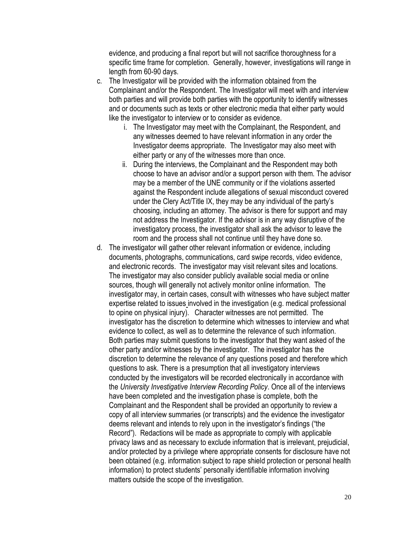evidence, and producing a final report but will not sacrifice thoroughness for a specific time frame for completion. Generally, however, investigations will range in length from 60-90 days.

- c. The Investigator will be provided with the information obtained from the Complainant and/or the Respondent. The Investigator will meet with and interview both parties and will provide both parties with the opportunity to identify witnesses and or documents such as texts or other electronic media that either party would like the investigator to interview or to consider as evidence.
	- i. The Investigator may meet with the Complainant, the Respondent, and any witnesses deemed to have relevant information in any order the Investigator deems appropriate. The Investigator may also meet with either party or any of the witnesses more than once.
	- ii. During the interviews, the Complainant and the Respondent may both choose to have an advisor and/or a support person with them. The advisor may be a member of the UNE community or if the violations asserted against the Respondent include allegations of sexual misconduct covered under the Clery Act/Title IX, they may be any individual of the party's choosing, including an attorney. The advisor is there for support and may not address the Investigator. If the advisor is in any way disruptive of the investigatory process, the investigator shall ask the advisor to leave the room and the process shall not continue until they have done so.
- d. The investigator will gather other relevant information or evidence, including documents, photographs, communications, card swipe records, video evidence, and electronic records. The investigator may visit relevant sites and locations. The investigator may also consider publicly available social media or online sources, though will generally not actively monitor online information. The investigator may, in certain cases, consult with witnesses who have subject matter expertise related to issues involved in the investigation (e.g. medical professional to opine on physical injury). Character witnesses are not permitted. The investigator has the discretion to determine which witnesses to interview and what evidence to collect, as well as to determine the relevance of such information. Both parties may submit questions to the investigator that they want asked of the other party and/or witnesses by the investigator. The investigator has the discretion to determine the relevance of any questions posed and therefore which questions to ask. There is a presumption that all investigatory interviews conducted by the investigators will be recorded electronically in accordance with the *University Investigative Interview Recording Policy*. Once all of the interviews have been completed and the investigation phase is complete, both the Complainant and the Respondent shall be provided an opportunity to review a copy of all interview summaries (or transcripts) and the evidence the investigator deems relevant and intends to rely upon in the investigator's findings ("the Record"). Redactions will be made as appropriate to comply with applicable privacy laws and as necessary to exclude information that is irrelevant, prejudicial, and/or protected by a privilege where appropriate consents for disclosure have not been obtained (e.g. information subject to rape shield protection or personal health information) to protect students' personally identifiable information involving matters outside the scope of the investigation.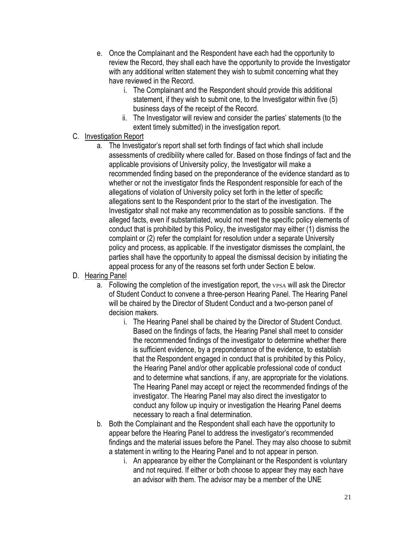- e. Once the Complainant and the Respondent have each had the opportunity to review the Record, they shall each have the opportunity to provide the Investigator with any additional written statement they wish to submit concerning what they have reviewed in the Record.
	- i. The Complainant and the Respondent should provide this additional statement, if they wish to submit one, to the Investigator within five (5) business days of the receipt of the Record.
	- ii. The Investigator will review and consider the parties' statements (to the extent timely submitted) in the investigation report.

# C. Investigation Report

a. The Investigator's report shall set forth findings of fact which shall include assessments of credibility where called for. Based on those findings of fact and the applicable provisions of University policy, the Investigator will make a recommended finding based on the preponderance of the evidence standard as to whether or not the investigator finds the Respondent responsible for each of the allegations of violation of University policy set forth in the letter of specific allegations sent to the Respondent prior to the start of the investigation. The Investigator shall not make any recommendation as to possible sanctions. If the alleged facts, even if substantiated, would not meet the specific policy elements of conduct that is prohibited by this Policy, the investigator may either (1) dismiss the complaint or (2) refer the complaint for resolution under a separate University policy and process, as applicable. If the investigator dismisses the complaint, the parties shall have the opportunity to appeal the dismissal decision by initiating the appeal process for any of the reasons set forth under Section E below.

# D. Hearing Panel

- a. Following the completion of the investigation report, the VPSA will ask the Director of Student Conduct to convene a three-person Hearing Panel. The Hearing Panel will be chaired by the Director of Student Conduct and a two-person panel of decision makers.
	- i. The Hearing Panel shall be chaired by the Director of Student Conduct. Based on the findings of facts, the Hearing Panel shall meet to consider the recommended findings of the investigator to determine whether there is sufficient evidence, by a preponderance of the evidence, to establish that the Respondent engaged in conduct that is prohibited by this Policy, the Hearing Panel and/or other applicable professional code of conduct and to determine what sanctions, if any, are appropriate for the violations. The Hearing Panel may accept or reject the recommended findings of the investigator. The Hearing Panel may also direct the investigator to conduct any follow up inquiry or investigation the Hearing Panel deems necessary to reach a final determination.
- b. Both the Complainant and the Respondent shall each have the opportunity to appear before the Hearing Panel to address the investigator's recommended findings and the material issues before the Panel. They may also choose to submit a statement in writing to the Hearing Panel and to not appear in person.
	- i. An appearance by either the Complainant or the Respondent is voluntary and not required. If either or both choose to appear they may each have an advisor with them. The advisor may be a member of the UNE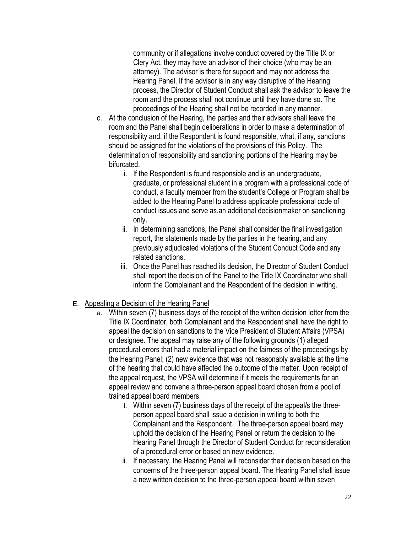community or if allegations involve conduct covered by the Title IX or Clery Act, they may have an advisor of their choice (who may be an attorney). The advisor is there for support and may not address the Hearing Panel. If the advisor is in any way disruptive of the Hearing process, the Director of Student Conduct shall ask the advisor to leave the room and the process shall not continue until they have done so. The proceedings of the Hearing shall not be recorded in any manner.

- c. At the conclusion of the Hearing, the parties and their advisors shall leave the room and the Panel shall begin deliberations in order to make a determination of responsibility and, if the Respondent is found responsible, what, if any, sanctions should be assigned for the violations of the provisions of this Policy. The determination of responsibility and sanctioning portions of the Hearing may be bifurcated.
	- i. If the Respondent is found responsible and is an undergraduate, graduate, or professional student in a program with a professional code of conduct, a faculty member from the student's College or Program shall be added to the Hearing Panel to address applicable professional code of conduct issues and serve as.an additional decisionmaker on sanctioning only.
	- ii. In determining sanctions, the Panel shall consider the final investigation report, the statements made by the parties in the hearing, and any previously adjudicated violations of the Student Conduct Code and any related sanctions.
	- iii. Once the Panel has reached its decision, the Director of Student Conduct shall report the decision of the Panel to the Title IX Coordinator who shall inform the Complainant and the Respondent of the decision in writing.

### E. Appealing a Decision of the Hearing Panel

- a. Within seven (7) business days of the receipt of the written decision letter from the Title IX Coordinator, both Complainant and the Respondent shall have the right to appeal the decision on sanctions to the Vice President of Student Affairs (VPSA) or designee. The appeal may raise any of the following grounds (1) alleged procedural errors that had a material impact on the fairness of the proceedings by the Hearing Panel; (2) new evidence that was not reasonably available at the time of the hearing that could have affected the outcome of the matter. Upon receipt of the appeal request, the VPSA will determine if it meets the requirements for an appeal review and convene a three-person appeal board chosen from a pool of trained appeal board members.
	- i. Within seven (7) business days of the receipt of the appeal/s the threeperson appeal board shall issue a decision in writing to both the Complainant and the Respondent. The three-person appeal board may uphold the decision of the Hearing Panel or return the decision to the Hearing Panel through the Director of Student Conduct for reconsideration of a procedural error or based on new evidence.
	- ii. If necessary, the Hearing Panel will reconsider their decision based on the concerns of the three-person appeal board. The Hearing Panel shall issue a new written decision to the three-person appeal board within seven